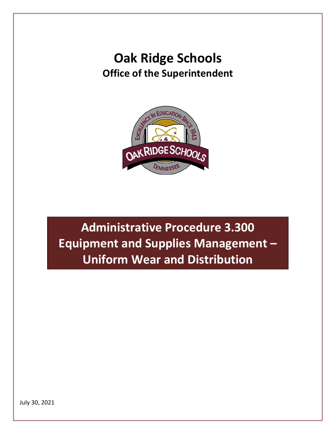# **Oak Ridge Schools Office of the Superintendent**



**Administrative Procedure 3.300 Equipment and Supplies Management – Uniform Wear and Distribution**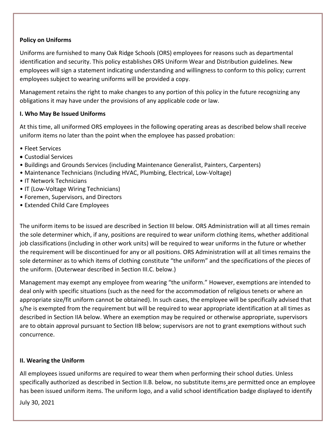#### **Policy on Uniforms**

Uniforms are furnished to many Oak Ridge Schools (ORS) employees for reasons such as departmental identification and security. This policy establishes ORS Uniform Wear and Distribution guidelines. New employees will sign a statement indicating understanding and willingness to conform to this policy; current employees subject to wearing uniforms will be provided a copy.

Management retains the right to make changes to any portion of this policy in the future recognizing any obligations it may have under the provisions of any applicable code or law.

#### **I. Who May Be Issued Uniforms**

At this time, all uniformed ORS employees in the following operating areas as described below shall receive uniform items no later than the point when the employee has passed probation:

- Fleet Services
- Custodial Services
- Buildings and Grounds Services (including Maintenance Generalist, Painters, Carpenters)
- Maintenance Technicians (Including HVAC, Plumbing, Electrical, Low-Voltage)
- IT Network Technicians
- IT (Low-Voltage Wiring Technicians)
- Foremen, Supervisors, and Directors
- Extended Child Care Employees

The uniform items to be issued are described in Section III below. ORS Administration will at all times remain the sole determiner which, if any, positions are required to wear uniform clothing items, whether additional job classifications (including in other work units) will be required to wear uniforms in the future or whether the requirement will be discontinued for any or all positions. ORS Administration will at all times remains the sole determiner as to which items of clothing constitute "the uniform" and the specifications of the pieces of the uniform. (Outerwear described in Section III.C. below.)

Management may exempt any employee from wearing "the uniform." However, exemptions are intended to deal only with specific situations (such as the need for the accommodation of religious tenets or where an appropriate size/fit uniform cannot be obtained). In such cases, the employee will be specifically advised that s/he is exempted from the requirement but will be required to wear appropriate identification at all times as described in Section IIA below. Where an exemption may be required or otherwise appropriate, supervisors are to obtain approval pursuant to Section IIB below; supervisors are not to grant exemptions without such concurrence.

#### **II. Wearing the Uniform**

All employees issued uniforms are required to wear them when performing their school duties. Unless specifically authorized as described in Section II.B. below, no substitute items are permitted once an employee has been issued uniform items. The uniform logo, and a valid school identification badge displayed to identify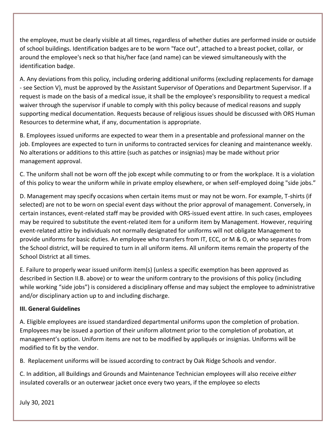the employee, must be clearly visible at all times, regardless of whether duties are performed inside or outside of school buildings. Identification badges are to be worn "face out", attached to a breast pocket, collar, or around the employee's neck so that his/her face (and name) can be viewed simultaneously with the identification badge.

A. Any deviations from this policy, including ordering additional uniforms (excluding replacements for damage - see Section V), must be approved by the Assistant Supervisor of Operations and Department Supervisor. If a request is made on the basis of a medical issue, it shall be the employee's responsibility to request a medical waiver through the supervisor if unable to comply with this policy because of medical reasons and supply supporting medical documentation. Requests because of religious issues should be discussed with ORS Human Resources to determine what, if any, documentation is appropriate.

B. Employees issued uniforms are expected to wear them in a presentable and professional manner on the job. Employees are expected to turn in uniforms to contracted services for cleaning and maintenance weekly. No alterations or additions to this attire (such as patches or insignias) may be made without prior management approval.

C. The uniform shall not be worn off the job except while commuting to or from the workplace. It is a violation of this policy to wear the uniform while in private employ elsewhere, or when self-employed doing "side jobs."

D. Management may specify occasions when certain items must or may not be worn. For example, T-shirts (if selected) are not to be worn on special event days without the prior approval of management. Conversely, in certain instances, event-related staff may be provided with ORS-issued event attire. In such cases, employees may be required to substitute the event-related item for a uniform item by Management. However, requiring event-related attire by individuals not normally designated for uniforms will not obligate Management to provide uniforms for basic duties. An employee who transfers from IT, ECC, or M & O, or who separates from the School district, will be required to turn in all uniform items. All uniform items remain the property of the School District at all times.

E. Failure to properly wear issued uniform item(s) (unless a specific exemption has been approved as described in Section II.B. above) or to wear the uniform contrary to the provisions of this policy (including while working "side jobs") is considered a disciplinary offense and may subject the employee to administrative and/or disciplinary action up to and including discharge.

## **III. General Guidelines**

A. Eligible employees are issued standardized departmental uniforms upon the completion of probation. Employees may be issued a portion of their uniform allotment prior to the completion of probation, at management's option. Uniform items are not to be modified by appliqués or insignias. Uniforms will be modified to fit by the vendor.

B. Replacement uniforms will be issued according to contract by Oak Ridge Schools and vendor.

C. In addition, all Buildings and Grounds and Maintenance Technician employees will also receive *either*  insulated coveralls or an outerwear jacket once every two years, if the employee so elects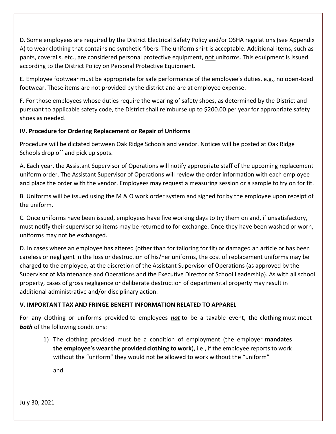D. Some employees are required by the District Electrical Safety Policy and/or OSHA regulations (see Appendix A) to wear clothing that contains no synthetic fibers. The uniform shirt is acceptable. Additional items, such as pants, coveralls, etc., are considered personal protective equipment, not uniforms. This equipment is issued according to the District Policy on Personal Protective Equipment.

E. Employee footwear must be appropriate for safe performance of the employee's duties, e.g., no open-toed footwear. These items are not provided by the district and are at employee expense.

F. For those employees whose duties require the wearing of safety shoes, as determined by the District and pursuant to applicable safety code, the District shall reimburse up to \$200.00 per year for appropriate safety shoes as needed.

### **IV. Procedure for Ordering Replacement or Repair of Uniforms**

Procedure will be dictated between Oak Ridge Schools and vendor. Notices will be posted at Oak Ridge Schools drop off and pick up spots.

A. Each year, the Assistant Supervisor of Operations will notify appropriate staff of the upcoming replacement uniform order. The Assistant Supervisor of Operations will review the order information with each employee and place the order with the vendor. Employees may request a measuring session or a sample to try on for fit.

B. Uniforms will be issued using the M & O work order system and signed for by the employee upon receipt of the uniform.

C. Once uniforms have been issued, employees have five working days to try them on and, if unsatisfactory, must notify their supervisor so items may be returned to for exchange. Once they have been washed or worn, uniforms may not be exchanged.

D. In cases where an employee has altered (other than for tailoring for fit) or damaged an article or has been careless or negligent in the loss or destruction of his/her uniforms, the cost of replacement uniforms may be charged to the employee, at the discretion of the Assistant Supervisor of Operations (as approved by the Supervisor of Maintenance and Operations and the Executive Director of School Leadership). As with all school property, cases of gross negligence or deliberate destruction of departmental property may result in additional administrative and/or disciplinary action.

## **V. IMPORTANT TAX AND FRINGE BENEFIT INFORMATION RELATED TO APPAREL**

For any clothing or uniforms provided to employees *not* to be a taxable event, the clothing must meet **both** of the following conditions:

1) The clothing provided must be a condition of employment (the employer **mandates the employee's wear the provided clothing to work**), i.e., if the employee reports to work without the "uniform" they would not be allowed to work without the "uniform"

and